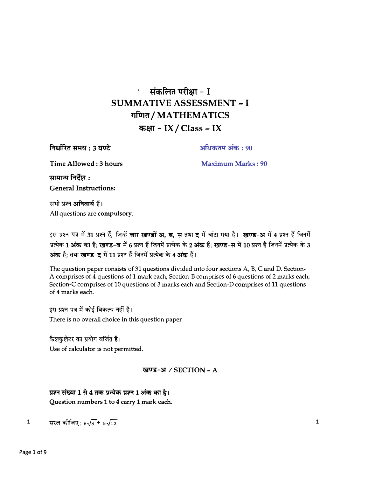# संकलित परीक्षा - I **SUMMATIVE ASSESSMENT - I** गणित/MATHEMATICS कक्षा - IX / Class - IX

निर्धारित समय : 3 घण्टे

अधिकतम अंक : 90

Time Allowed: 3 hours

**Maximum Marks: 90** 

सामान्य निर्देश :

**General Instructions:** 

सभी प्रश्न अनिवार्य हैं। All questions are compulsory.

इस प्रश्न पत्र में 31 प्रश्न हैं, जिन्हें चार खण्डों अ, ब, स तथा द में बांटा गया है। खण्ड-अ में 4 प्रश्न हैं जिनमें प्रत्येक 1 अंक का है; खण्ड-ब में 6 प्रश्न हैं जिनमें प्रत्येक के 2 अंक हैं; खण्ड-स में 10 प्रश्न हैं जिनमें प्रत्येक के 3 अंक है; तथा खण्ड-द में 11 प्रश्न हैं जिनमें प्रत्येक के 4 अंक हैं।

The question paper consists of 31 questions divided into four sections A, B, C and D. Section-A comprises of 4 questions of 1 mark each; Section-B comprises of 6 questions of 2 marks each; Section-C comprises of 10 questions of 3 marks each and Section-D comprises of 11 questions of 4 marks each.

इस प्रश्न पत्र में कोई विकल्प नहीं है। There is no overall choice in this question paper

कैलकुलेटर का प्रयोग वर्जित है। Use of calculator is not permitted.

### खण्ड-अ / SECTION - A

प्रश्न संख्या 1 से 4 तक प्रत्येक प्रश्न 1 अंक का है। Question numbers 1 to 4 carry 1 mark each.

सरल कीजिए:  $6\sqrt{3}$  +  $5\sqrt{12}$  $\mathbf{1}$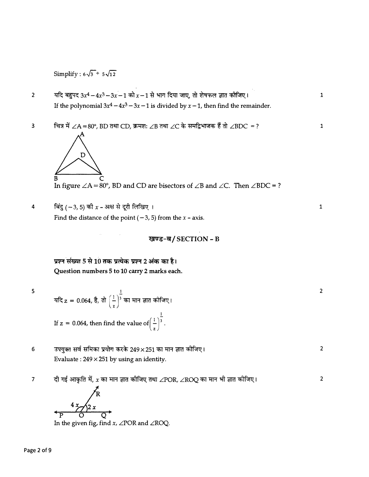Simplify:  $6\sqrt{3}$  +  $5\sqrt{12}$ 

यदि बहुपद 3x<sup>4</sup> - 4x<sup>3</sup> - 3x - 1 को x - 1 से भाग दिया जाए, तो शेषफल ज्ञात कोजिए।  $\overline{2}$ If the polynomial  $3x^4 - 4x^3 - 3x - 1$  is divided by  $x - 1$ , then find the remainder.

 $\mathbf 1$ 

 $\mathbf{1}$ 

 $\overline{2}$ 

 $\overline{2}$ 

 $\overline{2}$ 

चित्र में ∠A = 80°, BD तथा CD, क्रमशः ∠B तथा ∠C के समद्विभाजक हैं तो ∠BDC = ?  $\overline{3}$  $\mathbf{1}$ 



In figure  $\angle A = 80^\circ$ , BD and CD are bisectors of  $\angle B$  and  $\angle C$ . Then  $\angle BDC = ?$ 

- बिंदु (-3, 5) की  $x$  अक्ष से दूरी लिखिए।  $\overline{\mathbf{4}}$ Find the distance of the point  $(-3, 5)$  from the  $x$  - axis.
	- खण्ड-ब/SECTION B

प्रश्न संख्या 5 से 10 तक प्रत्येक प्रश्न 2 अंक का है। Question numbers 5 to 10 carry 2 marks each.

 $\sf S$ 

यदि  $z = 0.064$ , है, तो  $\left(\frac{1}{z}\right)^{\frac{1}{3}}$ का मान ज्ञात कोजिए। If z = 0.064, then find the value of  $\left(\frac{1}{2}\right)^{\frac{1}{3}}$ .

- उपयुक्त सर्व समिका प्रयोग करके 249 x 251 का मान ज्ञात कोजिए।  $6\phantom{1}$ Evaluate:  $249 \times 251$  by using an identity.
- दी गई आकृति में,  $x$  का मान ज्ञात कीजिए तथा  $\angle$ POR,  $\angle$ ROQ का मान भी ज्ञात कीजिए।  $\overline{7}$

In the given fig, find  $x$ ,  $\angle$ POR and  $\angle$ ROQ.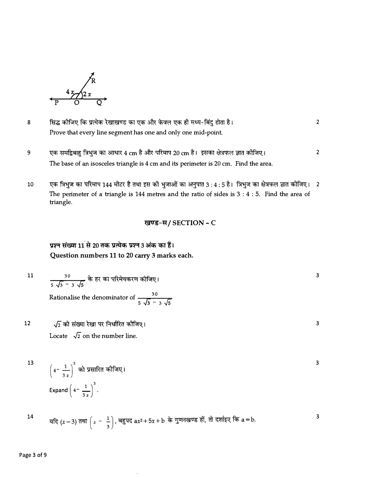

- सिद्ध कीजिए कि प्रत्येक रेखाखण्ड का एक और केवल एक ही मध्य-बिंदु होता है।  $\overline{2}$ 8 Prove that every line segment has one and only one mid-point.
- एक समद्विबाहु त्रिभुज का आधार 4 cm है और परिमाप 20 cm है। इसका क्षेत्रफल ज्ञात कोजिए। 9  $\overline{2}$ The base of an isosceles triangle is 4 cm and its perimeter is 20 cm. Find the area.
- एक त्रिभुज का परिमाप 144 मीटर है तथा इस की भुजाओं का अनुपात 3 : 4 : 5 है। त्रिभुज का क्षेत्रफल ज्ञात कीजिए। 2 10 The perimeter of a triangle is 144 metres and the ratio of sides is  $3:4:5$ . Find the area of triangle.

 $\overline{\mathbf{3}}$ 

 $\mathsf 3$ 

 $\overline{\mathbf{3}}$ 

# प्रश्न संख्या 11 से 20 तक प्रत्येक प्रश्न 3 अंक का हैं। Question numbers 11 to 20 carry 3 marks each.

$$
\frac{30}{5\sqrt{3}-3\sqrt{5}}\nrightarrow{\text{F}}
$$
हर का परिमेयकरण कीजिए 1

Rationalise the denominator of  $\frac{30}{5\sqrt{3}-3\sqrt{5}}$ 

√2 को संख्या रेखा पर निर्धारित कोजिए। 12 Locate  $\sqrt{2}$  on the number line.

$$
\left(4-\frac{1}{3 x}\right)^3 \text{ and } \text{ } 3x \text{ and } \left(4-\frac{1}{3 x}\right)^3.
$$

$$
14 \quad \text{or} \quad \text{and} \quad \left(x-3\right) \text{ and } \left(x-\frac{1}{3}\right), \text{ and } \text{and} \quad \text{and} \quad 3
$$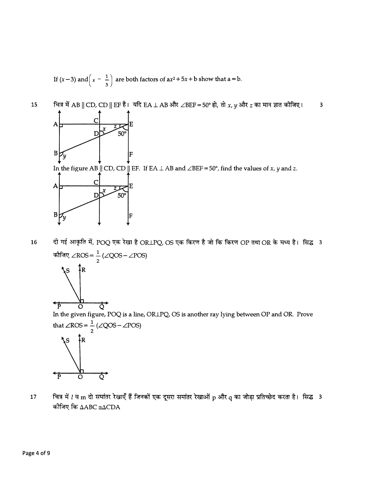If  $(x-3)$  and  $\left(x-\frac{1}{3}\right)$  are both factors of  $ax^2+5x+ b$  show that a = b.



दी गई आकृति में, POQ एक रेखा है ORLPQ, OS एक किरण है जो कि किरण OP तथा OR के मध्य है। सिद्ध 3 16 कीजिए ∠ROS =  $\frac{1}{2}$ (∠QOS – ∠POS)



In the given figure, POQ is a line, ORLPQ, OS is another ray lying between OP and OR. Prove that  $\angle$ ROS =  $\frac{1}{2}$  ( $\angle$ QOS –  $\angle$ POS)



चित्र में *l* व m दो समांतर रेखाएँ हैं जिनकों एक दूसरा समांतर रेखाओं p और q का जोड़ा प्रतिच्छेद करता है। सिद्ध 3 17 कोजिए कि ∆ABC ≅∆CDA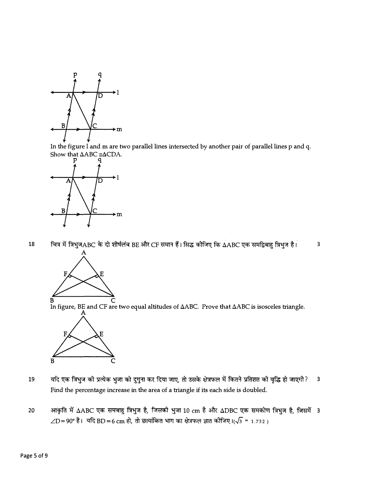

In the figure l and m are two parallel lines intersected by another pair of parallel lines p and q. Show that  $\triangle ABC \cong \triangle CDA$ .



चित्र में त्रिभुजABC के दो शीर्षलंब BE और CF समान हैं। सिद्ध कोजिए कि ∆ABC एक समद्विबाहु त्रिभुज है।  $\overline{\mathbf{3}}$ 18



In figure, BE and CF are two equal altitudes of  $\Delta ABC$ . Prove that  $\Delta ABC$  is isosceles triangle.



- यदि एक त्रिभुज की प्रत्येक भुजा को दुगुना कर दिया जाए, तो उसके क्षेत्रफल में कितने प्रतिशत की वृद्धि हो जाएगी? 19  $\overline{3}$ Find the percentage increase in the area of a triangle if its each side is doubled.
- आकृति में ∆ABC एक समबाहु त्रिभुज है, जिसकी भुजा 10 cm है और ∆DBC एक समकोण त्रिभुज है, जिसमें 3 20  $\angle D = 90^{\circ}$  है। यदि BD = 6 cm हो, तो छायांकित भाग का क्षेत्रफल ज्ञात कोजिए।( $\sqrt{3}$  = 1.732)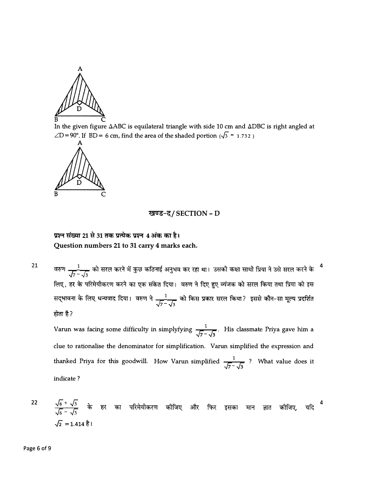

In the given figure  $\Delta ABC$  is equilateral triangle with side 10 cm and  $\Delta DBC$  is right angled at  $\angle D = 90^{\circ}$ . If BD = 6 cm, find the area of the shaded portion ( $\sqrt{3}$  = 1.732)



#### खण्ड-द/SECTION - D

## प्रश्न संख्या 21 से 31 तक प्रत्येक प्रश्न 4 अंक का है। Question numbers 21 to 31 carry 4 marks each.

वरुण  $\frac{1}{\sqrt{7}-\sqrt{3}}$  को सरल करने में कुछ कठिनाई अनुभव कर रहा था। उसकी कक्षा साथी प्रिया ने उसे सरल करने के लिए, हर के परिमेयीकरण करने का एक संकेत दिया। वरुण ने दिए हुए व्यंजक को सरल किया तथा प्रिया को इस सद्भावना के लिए धन्यवाद दिया। वरुण ने  $\frac{1}{\sqrt{7}-\sqrt{3}}$  को किस प्रकार सरल किया? इससे कौन-सा मूल्य प्रदर्शित होता है?

 $\overline{4}$ 

Varun was facing some difficulty in simplyfying  $\frac{1}{\sqrt{7}-\sqrt{3}}$ . His classmate Priya gave him a clue to rationalise the denominator for simplification. Varun simplified the expression and thanked Priya for this goodwill. How Varun simplified  $\frac{1}{\sqrt{7}-\sqrt{3}}$ ? What value does it indicate?

$$
\frac{\sqrt{6} + \sqrt{3}}{\sqrt{6} - \sqrt{3}}
$$
 के हर का परिमेयीकरण कीजिए और फिर इसका मान ज्ञात कीजिए यदि<sup>4</sup>  

$$
\sqrt{2} = 1.414 \text{ }\overset{1}{6}!
$$

21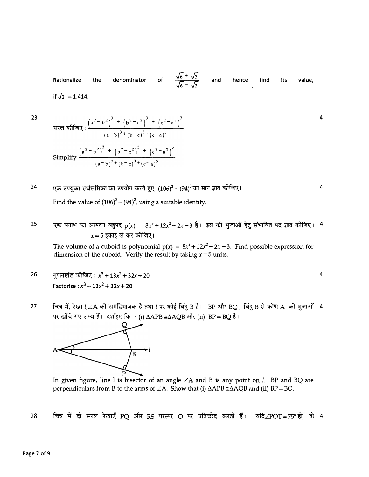Rationalize the denominator of  $\frac{\sqrt{6} + \sqrt{3}}{\sqrt{6} - \sqrt{3}}$ if  $\sqrt{2} = 1.414$ . and hence find its value,

4

4

**4** 

23

'n,

**24**  एक उपयुक्त सर्वसमिका का उपयोग करते हुए,  $(106)^3$  –  $(94)^3$  का मान ज्ञात कोजिए। Find the value of  $(106)^3 - (94)^3$ , using a suitable identity.

 $\overline{2}$ 

25  $\,$ एक घनाभ का आयतन बहुपद  $\rm p(x) = 8x^3 + 12x^2 - 2x - 3$  है। इस की भुजाओं हेतु संभावित पद ज्ञात कीजिए।  $\,$  4  $\,$  $x = 5$  इकाई ले कर कोजिए।

The volume of a cuboid is polynomial  $p(x) = 8x^3 + 12x^2 - 2x - 3$ . Find possible expression for dimension of the cuboid. Verify the result by taking  $x = 5$  units.

- 26 गुणनखंड कीजिए:  $x^3 + 13x^2 + 32x + 20$ Factorise :  $x^3 + 13x^2 + 32x + 20$
- 27 चित्र में, रेखा *l,* $\angle A$  की समद्विभाजक है तथा *l* पर कोई बिंदु B है। BP और BQ , बिंदु B से कोण A की भुजाओं 4 पर खींचे गए लम्ब हैं। दर्शाइए कि  $\cdot$  (i)  $\Delta APB \cong \Delta AQB$  और (ii)  $BP = BQ$  है।



In given figure, line 1 is bisector of an angle *LA* and B is any point on *l.* BP and BQ are perpendiculars from B to the arms of  $\angle A$ . Show that (i)  $\triangle APB \cong \triangle AQB$  and (ii) BP = BQ.

चित्र में दो सरल रेखाएँ PQ और RS परस्पर O पर प्रतिच्छेद करती हैं। यदि∠POT=75°हो, तो 4 28